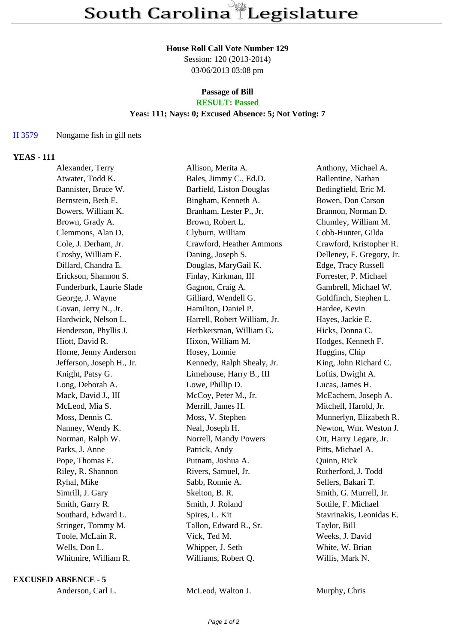#### **House Roll Call Vote Number 129**

Session: 120 (2013-2014) 03/06/2013 03:08 pm

#### **Passage of Bill RESULT: Passed**

# **Yeas: 111; Nays: 0; Excused Absence: 5; Not Voting: 7**

## H 3579 Nongame fish in gill nets

## **YEAS - 111**

| Alexander, Terry          | Allison, Merita A.           | Anthony, Michael A.       |
|---------------------------|------------------------------|---------------------------|
| Atwater, Todd K.          | Bales, Jimmy C., Ed.D.       | Ballentine, Nathan        |
| Bannister, Bruce W.       | Barfield, Liston Douglas     | Bedingfield, Eric M.      |
| Bernstein, Beth E.        | Bingham, Kenneth A.          | Bowen, Don Carson         |
| Bowers, William K.        | Branham, Lester P., Jr.      | Brannon, Norman D.        |
| Brown, Grady A.           | Brown, Robert L.             | Chumley, William M.       |
| Clemmons, Alan D.         | Clyburn, William             | Cobb-Hunter, Gilda        |
| Cole, J. Derham, Jr.      | Crawford, Heather Ammons     | Crawford, Kristopher R.   |
| Crosby, William E.        | Daning, Joseph S.            | Delleney, F. Gregory, Jr. |
| Dillard, Chandra E.       | Douglas, MaryGail K.         | Edge, Tracy Russell       |
| Erickson, Shannon S.      | Finlay, Kirkman, III         | Forrester, P. Michael     |
| Funderburk, Laurie Slade  | Gagnon, Craig A.             | Gambrell, Michael W.      |
| George, J. Wayne          | Gilliard, Wendell G.         | Goldfinch, Stephen L.     |
| Govan, Jerry N., Jr.      | Hamilton, Daniel P.          | Hardee, Kevin             |
| Hardwick, Nelson L.       | Harrell, Robert William, Jr. | Hayes, Jackie E.          |
| Henderson, Phyllis J.     | Herbkersman, William G.      | Hicks, Donna C.           |
| Hiott, David R.           | Hixon, William M.            | Hodges, Kenneth F.        |
| Horne, Jenny Anderson     | Hosey, Lonnie                | Huggins, Chip             |
| Jefferson, Joseph H., Jr. | Kennedy, Ralph Shealy, Jr.   | King, John Richard C.     |
| Knight, Patsy G.          | Limehouse, Harry B., III     | Loftis, Dwight A.         |
| Long, Deborah A.          | Lowe, Phillip D.             | Lucas, James H.           |
| Mack, David J., III       | McCoy, Peter M., Jr.         | McEachern, Joseph A.      |
| McLeod, Mia S.            | Merrill, James H.            | Mitchell, Harold, Jr.     |
| Moss, Dennis C.           | Moss, V. Stephen             | Munnerlyn, Elizabeth R.   |
| Nanney, Wendy K.          | Neal, Joseph H.              | Newton, Wm. Weston J.     |
| Norman, Ralph W.          | Norrell, Mandy Powers        | Ott, Harry Legare, Jr.    |
| Parks, J. Anne            | Patrick, Andy                | Pitts, Michael A.         |
| Pope, Thomas E.           | Putnam, Joshua A.            | Quinn, Rick               |
| Riley, R. Shannon         | Rivers, Samuel, Jr.          | Rutherford, J. Todd       |
| Ryhal, Mike               | Sabb, Ronnie A.              | Sellers, Bakari T.        |
| Simrill, J. Gary          | Skelton, B. R.               | Smith, G. Murrell, Jr.    |
| Smith, Garry R.           | Smith, J. Roland             | Sottile, F. Michael       |
| Southard, Edward L.       | Spires, L. Kit               | Stavrinakis, Leonidas E.  |
| Stringer, Tommy M.        | Tallon, Edward R., Sr.       | Taylor, Bill              |
| Toole, McLain R.          | Vick, Ted M.                 | Weeks, J. David           |
| Wells, Don L.             | Whipper, J. Seth             | White, W. Brian           |
| Whitmire, William R.      | Williams, Robert Q.          | Willis, Mark N.           |
|                           |                              |                           |

### **EXCUSED ABSENCE - 5**

| Anderson, Carl L. |  |
|-------------------|--|
|-------------------|--|

McLeod, Walton J. Murphy, Chris